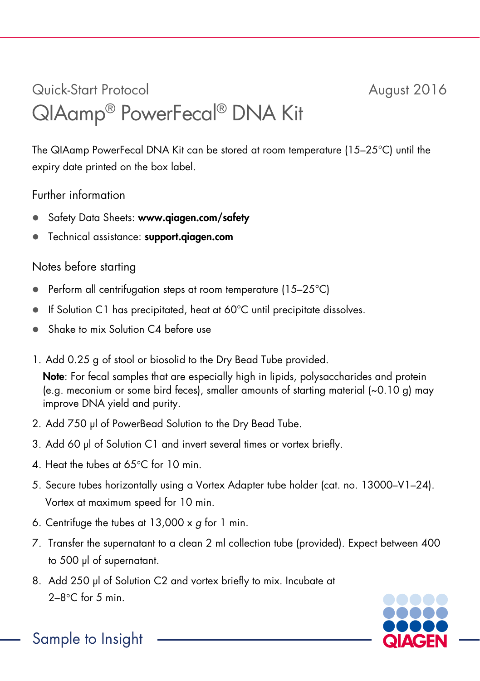## Quick-Start Protocol August 2016 QIAamp® PowerFecal® DNA Kit

The QIAamp PowerFecal DNA Kit can be stored at room temperature (15–25°C) until the expiry date printed on the box label.

## Further information

- Safety Data Sheets: www.qiagen.com/safety
- **•** Technical assistance: support.giagen.com

## Notes before starting

- Perform all centrifugation steps at room temperature (15–25°C)
- If Solution C1 has precipitated, heat at 60°C until precipitate dissolves.
- Shake to mix Solution C4 before use
- 1. Add 0.25 g of stool or biosolid to the Dry Bead Tube provided.

Note: For fecal samples that are especially high in lipids, polysaccharides and protein (e.g. meconium or some bird feces), smaller amounts of starting material (~0.10 g) may improve DNA yield and purity.

- 2. Add 750 μl of PowerBead Solution to the Dry Bead Tube.
- 3. Add 60 μl of Solution C1 and invert several times or vortex briefly.
- 4. Heat the tubes at 65°C for 10 min.
- 5. Secure tubes horizontally using a Vortex Adapter tube holder (cat. no. 13000–V1–24). Vortex at maximum speed for 10 min.
- 6. Centrifuge the tubes at 13,000 x *g* for 1 min.
- 7. Transfer the supernatant to a clean 2 ml collection tube (provided). Expect between 400 to 500 μl of supernatant.
- 8. Add 250 μl of Solution C2 and vortex briefly to mix. Incubate at  $2-8$ °C for 5 min.



Sample to Insight